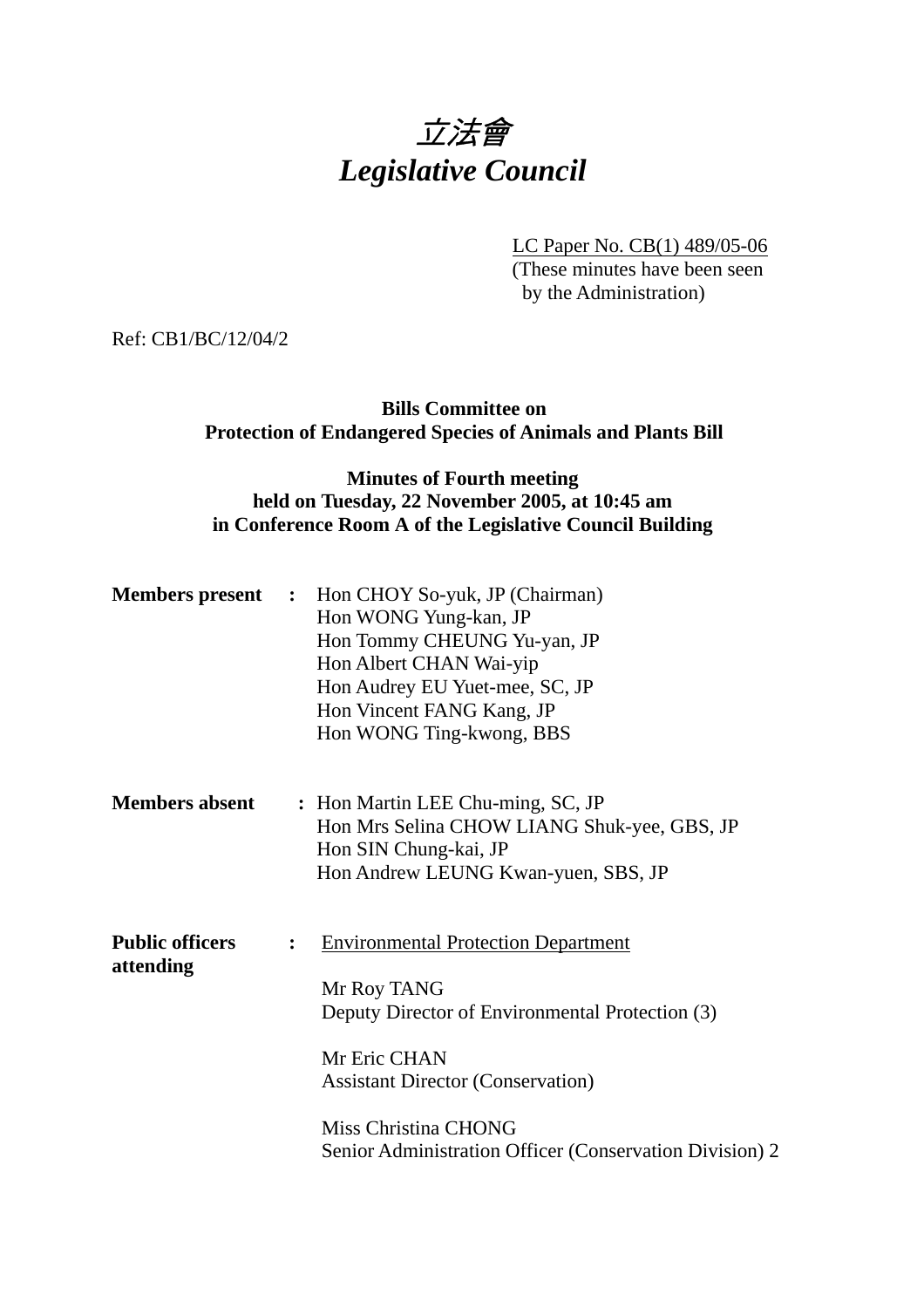# 立法會 *Legislative Council*

LC Paper No. CB(1) 489/05-06

(These minutes have been seen by the Administration)

Ref: CB1/BC/12/04/2

## **Bills Committee on Protection of Endangered Species of Animals and Plants Bill**

## **Minutes of Fourth meeting held on Tuesday, 22 November 2005, at 10:45 am in Conference Room A of the Legislative Council Building**

|                                     | <b>Members present</b> : Hon CHOY So-yuk, JP (Chairman)<br>Hon WONG Yung-kan, JP<br>Hon Tommy CHEUNG Yu-yan, JP<br>Hon Albert CHAN Wai-yip<br>Hon Audrey EU Yuet-mee, SC, JP<br>Hon Vincent FANG Kang, JP<br>Hon WONG Ting-kwong, BBS                                         |  |
|-------------------------------------|-------------------------------------------------------------------------------------------------------------------------------------------------------------------------------------------------------------------------------------------------------------------------------|--|
| <b>Members absent</b>               | : Hon Martin LEE Chu-ming, SC, JP<br>Hon Mrs Selina CHOW LIANG Shuk-yee, GBS, JP<br>Hon SIN Chung-kai, JP<br>Hon Andrew LEUNG Kwan-yuen, SBS, JP                                                                                                                              |  |
| <b>Public officers</b><br>attending | <b>Environmental Protection Department</b><br>$\ddot{\cdot}$<br>Mr Roy TANG<br>Deputy Director of Environmental Protection (3)<br>Mr Eric CHAN<br><b>Assistant Director (Conservation)</b><br>Miss Christina CHONG<br>Senior Administration Officer (Conservation Division) 2 |  |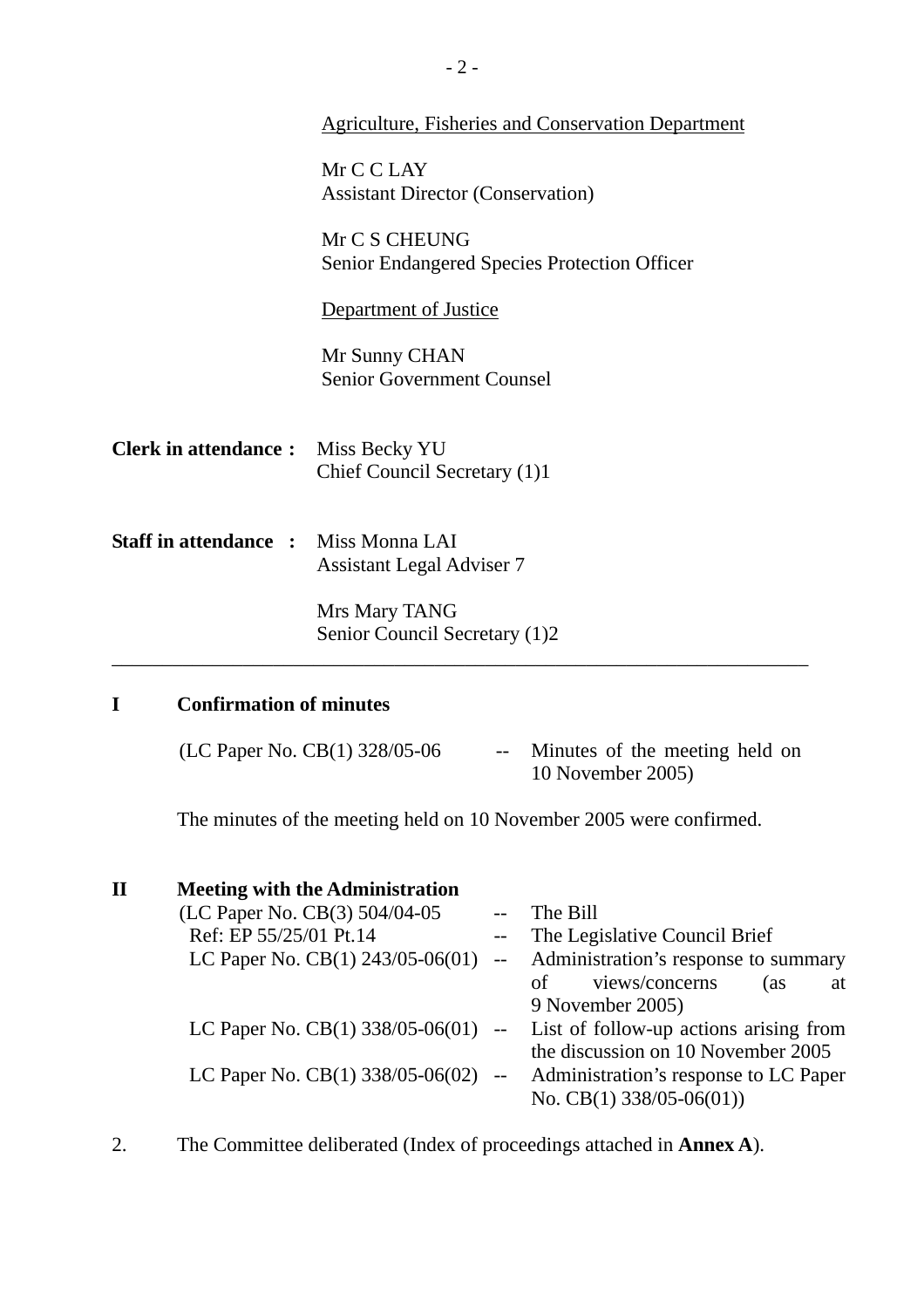|                                             | <b>Agriculture, Fisheries and Conservation Department</b>            |  |  |
|---------------------------------------------|----------------------------------------------------------------------|--|--|
|                                             |                                                                      |  |  |
|                                             | Mr C C LAY<br><b>Assistant Director (Conservation)</b>               |  |  |
|                                             | Mr C S CHEUNG<br><b>Senior Endangered Species Protection Officer</b> |  |  |
|                                             | Department of Justice                                                |  |  |
|                                             | Mr Sunny CHAN<br><b>Senior Government Counsel</b>                    |  |  |
| <b>Clerk in attendance:</b> Miss Becky YU   | Chief Council Secretary (1)1                                         |  |  |
| <b>Staff in attendance : Miss Monna LAI</b> | <b>Assistant Legal Adviser 7</b>                                     |  |  |
|                                             | Mrs Mary TANG<br>Senior Council Secretary (1)2                       |  |  |
| <b>Confirmation of minutes</b><br>I         |                                                                      |  |  |

| (LC Paper No. CB(1) 328/05-06 | -- Minutes of the meeting held on |
|-------------------------------|-----------------------------------|
|                               | 10 November 2005)                 |

The minutes of the meeting held on 10 November 2005 were confirmed.

| $\mathbf{I}$ | <b>Meeting with the Administration</b> |     |                                                                              |
|--------------|----------------------------------------|-----|------------------------------------------------------------------------------|
|              | (LC Paper No. CB(3) 504/04-05          |     | The Bill                                                                     |
|              | Ref: EP 55/25/01 Pt.14                 |     | The Legislative Council Brief                                                |
|              | LC Paper No. $CB(1)$ 243/05-06(01)     | $-$ | Administration's response to summary                                         |
|              |                                        |     | views/concerns<br>οf<br>(as<br>at                                            |
|              |                                        |     | 9 November 2005)                                                             |
|              |                                        |     | LC Paper No. $CB(1)$ 338/05-06(01) -- List of follow-up actions arising from |
|              |                                        |     | the discussion on 10 November 2005                                           |
|              | LC Paper No. $CB(1)$ 338/05-06(02)     |     | Administration's response to LC Paper                                        |
|              |                                        |     | No. CB(1) $338/05-06(01)$                                                    |
|              |                                        |     |                                                                              |

2. The Committee deliberated (Index of proceedings attached in **Annex A**).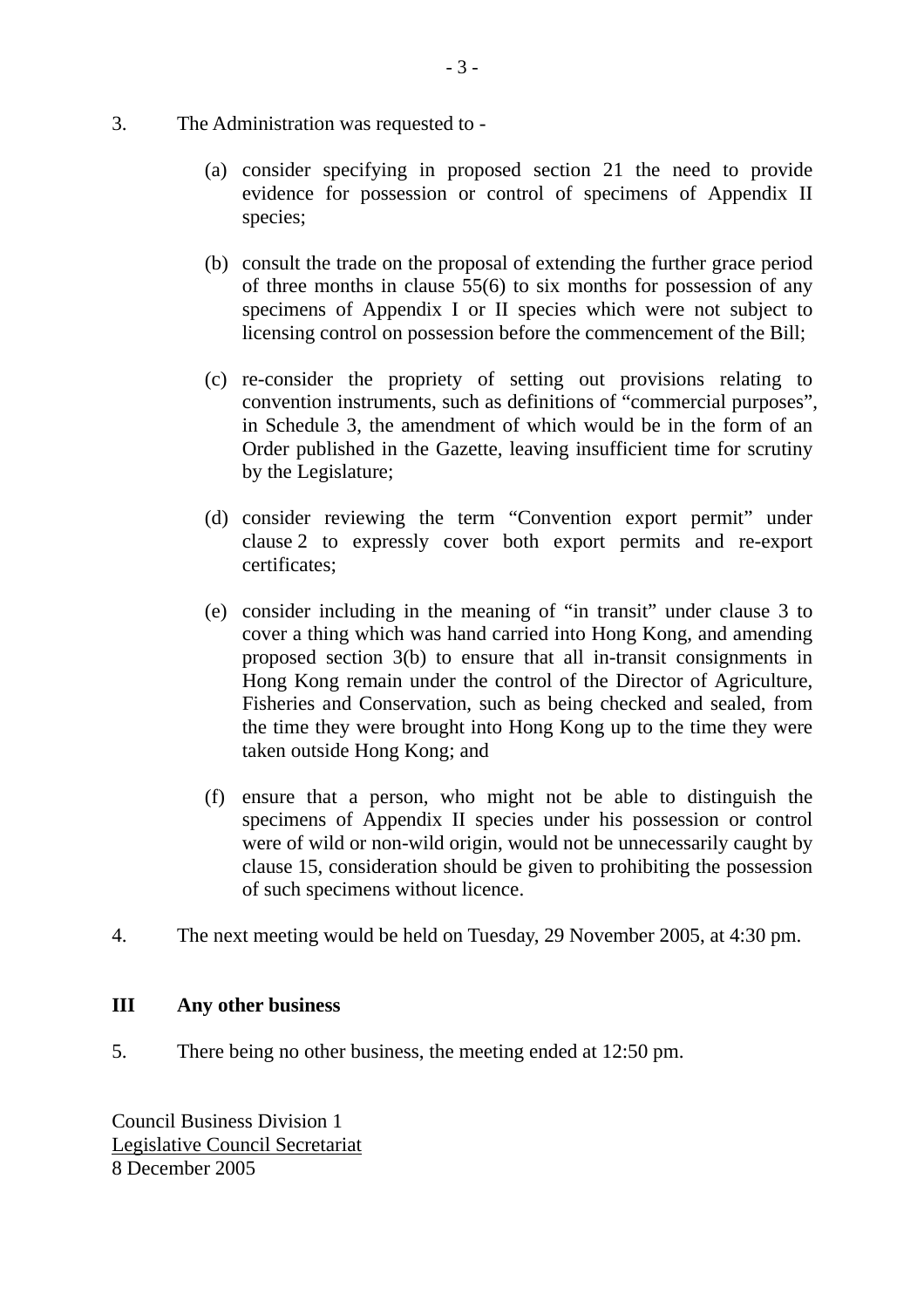- 3. The Administration was requested to
	- (a) consider specifying in proposed section 21 the need to provide evidence for possession or control of specimens of Appendix II species;
	- (b) consult the trade on the proposal of extending the further grace period of three months in clause 55(6) to six months for possession of any specimens of Appendix I or II species which were not subject to licensing control on possession before the commencement of the Bill;
	- (c) re-consider the propriety of setting out provisions relating to convention instruments, such as definitions of "commercial purposes", in Schedule 3, the amendment of which would be in the form of an Order published in the Gazette, leaving insufficient time for scrutiny by the Legislature;
	- (d) consider reviewing the term "Convention export permit" under clause 2 to expressly cover both export permits and re-export certificates;
	- (e) consider including in the meaning of "in transit" under clause 3 to cover a thing which was hand carried into Hong Kong, and amending proposed section 3(b) to ensure that all in-transit consignments in Hong Kong remain under the control of the Director of Agriculture, Fisheries and Conservation, such as being checked and sealed, from the time they were brought into Hong Kong up to the time they were taken outside Hong Kong; and
	- (f) ensure that a person, who might not be able to distinguish the specimens of Appendix II species under his possession or control were of wild or non-wild origin, would not be unnecessarily caught by clause 15, consideration should be given to prohibiting the possession of such specimens without licence.
- 4. The next meeting would be held on Tuesday, 29 November 2005, at 4:30 pm.

#### **III Any other business**

5. There being no other business, the meeting ended at 12:50 pm.

Council Business Division 1 Legislative Council Secretariat 8 December 2005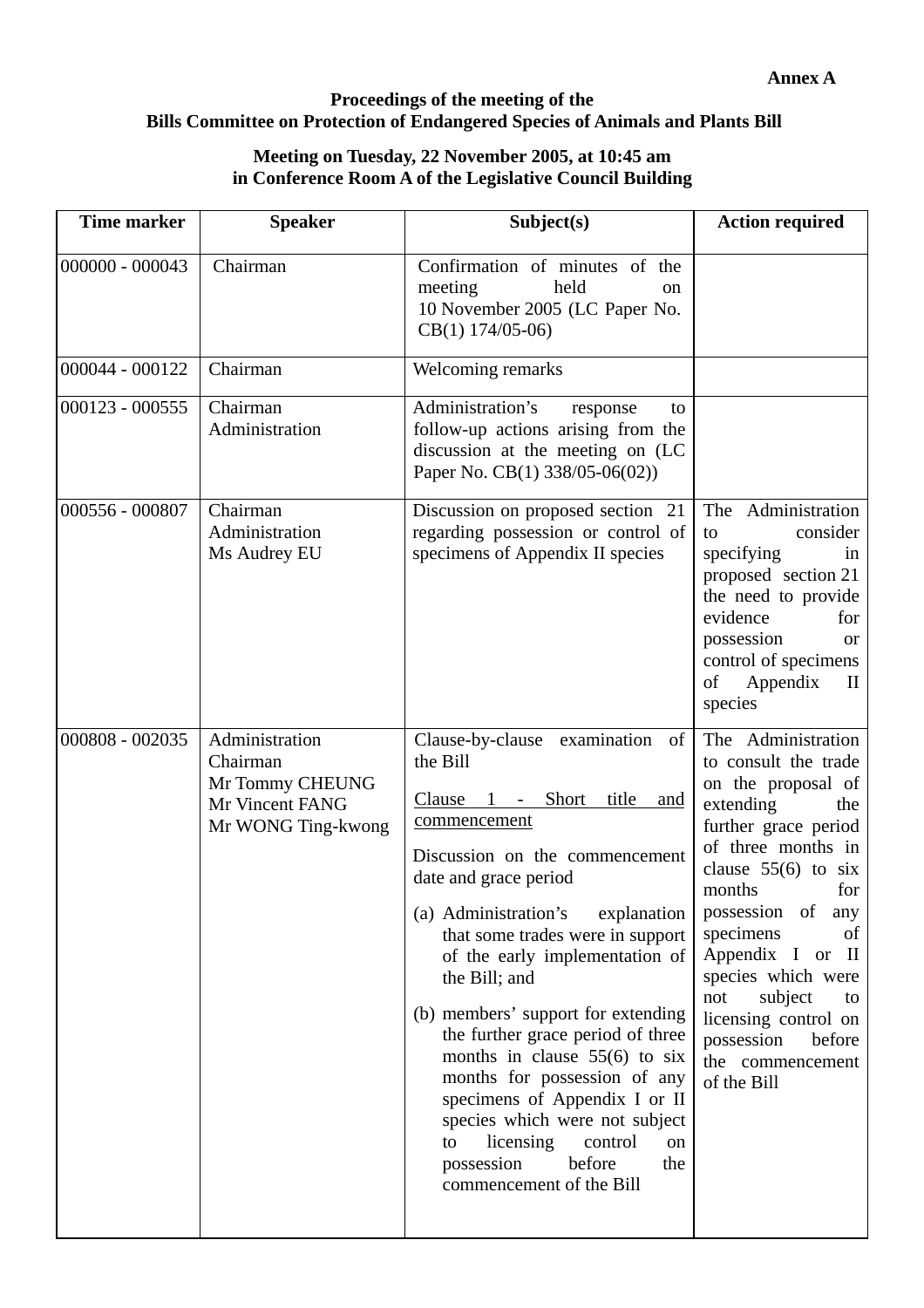### **Proceedings of the meeting of the Bills Committee on Protection of Endangered Species of Animals and Plants Bill**

#### **Meeting on Tuesday, 22 November 2005, at 10:45 am in Conference Room A of the Legislative Council Building**

| <b>Time marker</b> | <b>Speaker</b>                                                                         | Subject(s)                                                                                                                                                                                                                                                                                                                                                                                                                                                                                                                                                                                                  | <b>Action required</b>                                                                                                                                                                                                                                                                                                                                                                    |
|--------------------|----------------------------------------------------------------------------------------|-------------------------------------------------------------------------------------------------------------------------------------------------------------------------------------------------------------------------------------------------------------------------------------------------------------------------------------------------------------------------------------------------------------------------------------------------------------------------------------------------------------------------------------------------------------------------------------------------------------|-------------------------------------------------------------------------------------------------------------------------------------------------------------------------------------------------------------------------------------------------------------------------------------------------------------------------------------------------------------------------------------------|
| $000000 - 000043$  | Chairman                                                                               | Confirmation of minutes of the<br>held<br>meeting<br><sub>on</sub><br>10 November 2005 (LC Paper No.<br>$CB(1)$ 174/05-06)                                                                                                                                                                                                                                                                                                                                                                                                                                                                                  |                                                                                                                                                                                                                                                                                                                                                                                           |
| 000044 - 000122    | Chairman                                                                               | Welcoming remarks                                                                                                                                                                                                                                                                                                                                                                                                                                                                                                                                                                                           |                                                                                                                                                                                                                                                                                                                                                                                           |
| $000123 - 000555$  | Chairman<br>Administration                                                             | Administration's<br>response<br>to<br>follow-up actions arising from the<br>discussion at the meeting on (LC<br>Paper No. CB(1) 338/05-06(02))                                                                                                                                                                                                                                                                                                                                                                                                                                                              |                                                                                                                                                                                                                                                                                                                                                                                           |
| 000556 - 000807    | Chairman<br>Administration<br>Ms Audrey EU                                             | Discussion on proposed section 21<br>regarding possession or control of<br>specimens of Appendix II species                                                                                                                                                                                                                                                                                                                                                                                                                                                                                                 | The Administration<br>consider<br>to<br>specifying<br>in<br>proposed section 21<br>the need to provide<br>evidence<br>for<br>possession<br><b>or</b><br>control of specimens<br>Appendix<br>of<br>П<br>species                                                                                                                                                                            |
| 000808 - 002035    | Administration<br>Chairman<br>Mr Tommy CHEUNG<br>Mr Vincent FANG<br>Mr WONG Ting-kwong | Clause-by-clause examination<br>of<br>the Bill<br>Clause<br>Short_<br>title<br>and<br>commencement<br>Discussion on the commencement<br>date and grace period<br>(a) Administration's<br>explanation<br>that some trades were in support<br>of the early implementation of<br>the Bill; and<br>(b) members' support for extending<br>the further grace period of three<br>months in clause $55(6)$ to six<br>months for possession of any<br>specimens of Appendix I or II<br>species which were not subject<br>licensing<br>control<br>to<br>on<br>before<br>possession<br>the<br>commencement of the Bill | The Administration<br>to consult the trade<br>on the proposal of<br>extending<br>the<br>further grace period<br>of three months in<br>clause $55(6)$ to six<br>months<br>for<br>possession of<br>any<br>specimens<br>οf<br>Appendix I or<br>$\mathbf{H}$<br>species which were<br>subject<br>not<br>to<br>licensing control on<br>possession<br>before<br>the commencement<br>of the Bill |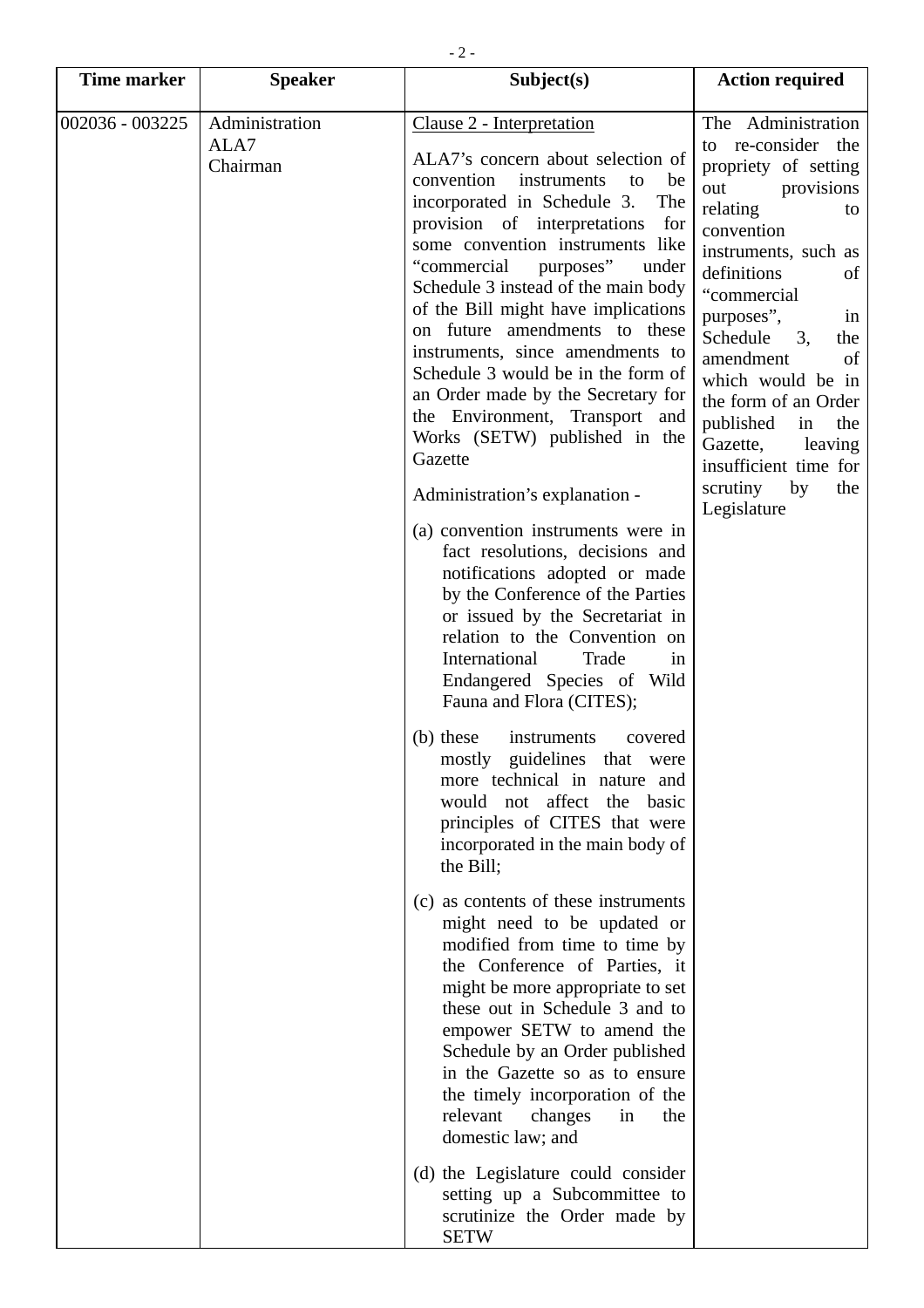| <b>Time marker</b> | <b>Speaker</b>                     | Subject(s)                                                                                                                                                                                                                                                                                                                                                                                                                                                                                                                                                                                                                                                                                                                                                                                                                                                                                                                                                                                                                                                                                                                                                                                                                                                                                                                                                                                                                                                                                                                                                 | <b>Action required</b>                                                                                                                                                                                                                                                                                                                                                                                           |
|--------------------|------------------------------------|------------------------------------------------------------------------------------------------------------------------------------------------------------------------------------------------------------------------------------------------------------------------------------------------------------------------------------------------------------------------------------------------------------------------------------------------------------------------------------------------------------------------------------------------------------------------------------------------------------------------------------------------------------------------------------------------------------------------------------------------------------------------------------------------------------------------------------------------------------------------------------------------------------------------------------------------------------------------------------------------------------------------------------------------------------------------------------------------------------------------------------------------------------------------------------------------------------------------------------------------------------------------------------------------------------------------------------------------------------------------------------------------------------------------------------------------------------------------------------------------------------------------------------------------------------|------------------------------------------------------------------------------------------------------------------------------------------------------------------------------------------------------------------------------------------------------------------------------------------------------------------------------------------------------------------------------------------------------------------|
| 002036 - 003225    | Administration<br>ALA7<br>Chairman | Clause 2 - Interpretation<br>ALA7's concern about selection of<br>convention<br>instruments<br>to<br>be<br>incorporated in Schedule 3.<br>The<br>provision of interpretations<br>for<br>some convention instruments like<br>"commercial<br>purposes"<br>under<br>Schedule 3 instead of the main body<br>of the Bill might have implications<br>on future amendments to these<br>instruments, since amendments to<br>Schedule 3 would be in the form of<br>an Order made by the Secretary for<br>the Environment, Transport and<br>Works (SETW) published in the<br>Gazette<br>Administration's explanation -<br>(a) convention instruments were in<br>fact resolutions, decisions and<br>notifications adopted or made<br>by the Conference of the Parties<br>or issued by the Secretariat in<br>relation to the Convention on<br>International<br>Trade<br>in<br>Endangered Species of Wild<br>Fauna and Flora (CITES);<br>(b) these<br>instruments<br>covered<br>mostly guidelines that were<br>more technical in nature and<br>would not affect the basic<br>principles of CITES that were<br>incorporated in the main body of<br>the Bill;<br>(c) as contents of these instruments<br>might need to be updated or<br>modified from time to time by<br>the Conference of Parties, it<br>might be more appropriate to set<br>these out in Schedule 3 and to<br>empower SETW to amend the<br>Schedule by an Order published<br>in the Gazette so as to ensure<br>the timely incorporation of the<br>relevant<br>changes<br>in<br>the<br>domestic law; and | The Administration<br>to re-consider the<br>propriety of setting<br>out<br>provisions<br>relating<br>to<br>convention<br>instruments, such as<br>definitions<br>of<br>"commercial<br>purposes",<br>in<br>Schedule<br>3.<br>the<br>amendment<br>of<br>which would be in<br>the form of an Order<br>published<br>the<br>in<br>Gazette,<br>leaving<br>insufficient time for<br>scrutiny<br>by<br>the<br>Legislature |
|                    |                                    | (d) the Legislature could consider<br>setting up a Subcommittee to<br>scrutinize the Order made by<br><b>SETW</b>                                                                                                                                                                                                                                                                                                                                                                                                                                                                                                                                                                                                                                                                                                                                                                                                                                                                                                                                                                                                                                                                                                                                                                                                                                                                                                                                                                                                                                          |                                                                                                                                                                                                                                                                                                                                                                                                                  |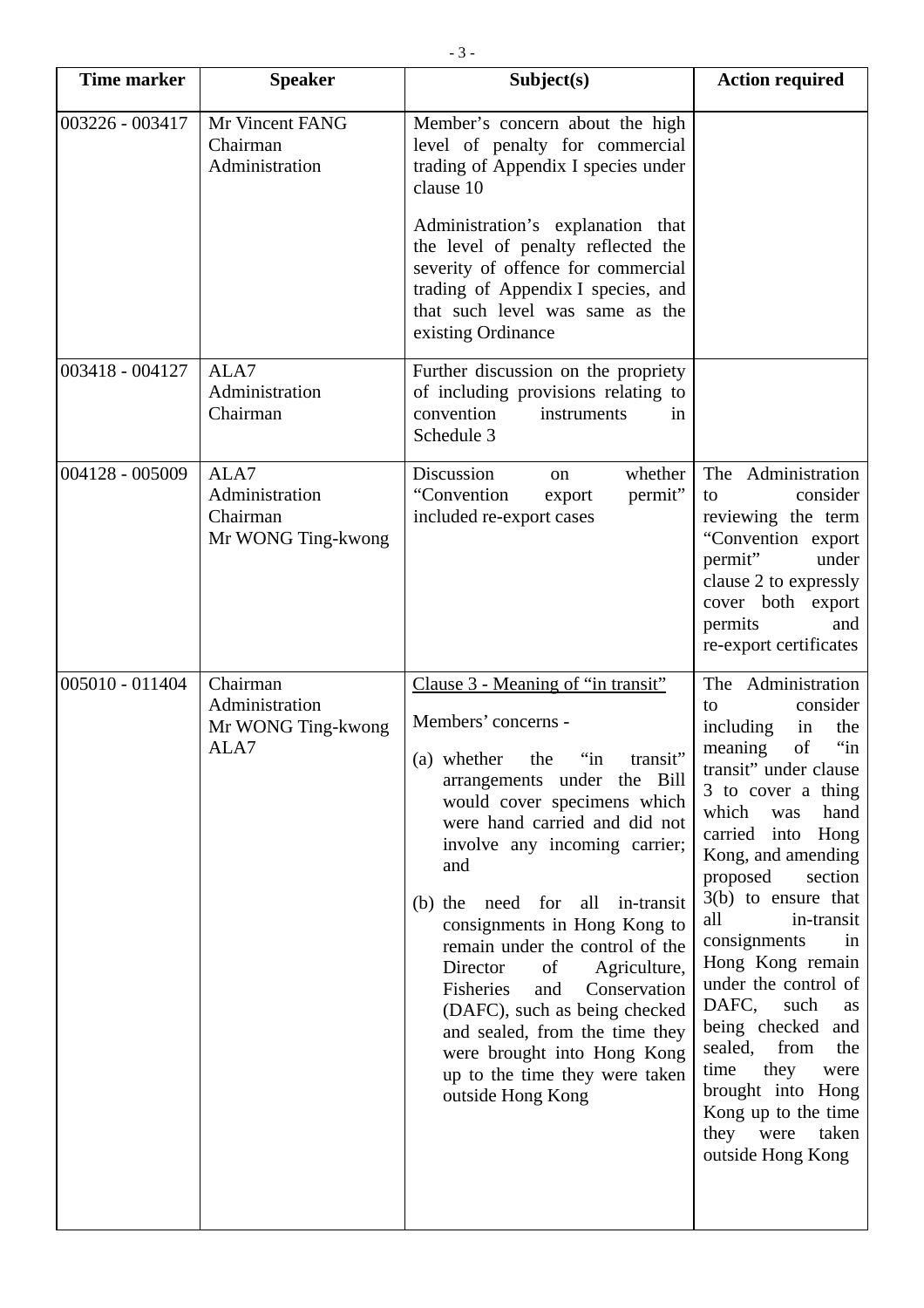| <b>Time marker</b> | <b>Speaker</b>                                           | Subject(s)                                                                                                                                                                                                                                                                                                                                                                                                                                                                                                                                                                  | <b>Action required</b>                                                                                                                                                                                                                                                                                                                                                                                                                                                                                                                          |
|--------------------|----------------------------------------------------------|-----------------------------------------------------------------------------------------------------------------------------------------------------------------------------------------------------------------------------------------------------------------------------------------------------------------------------------------------------------------------------------------------------------------------------------------------------------------------------------------------------------------------------------------------------------------------------|-------------------------------------------------------------------------------------------------------------------------------------------------------------------------------------------------------------------------------------------------------------------------------------------------------------------------------------------------------------------------------------------------------------------------------------------------------------------------------------------------------------------------------------------------|
| 003226 - 003417    | Mr Vincent FANG<br>Chairman<br>Administration            | Member's concern about the high<br>level of penalty for commercial<br>trading of Appendix I species under<br>clause 10                                                                                                                                                                                                                                                                                                                                                                                                                                                      |                                                                                                                                                                                                                                                                                                                                                                                                                                                                                                                                                 |
|                    |                                                          | Administration's explanation that<br>the level of penalty reflected the<br>severity of offence for commercial<br>trading of Appendix I species, and<br>that such level was same as the<br>existing Ordinance                                                                                                                                                                                                                                                                                                                                                                |                                                                                                                                                                                                                                                                                                                                                                                                                                                                                                                                                 |
| 003418 - 004127    | ALA7<br>Administration<br>Chairman                       | Further discussion on the propriety<br>of including provisions relating to<br>convention<br>instruments<br>in<br>Schedule 3                                                                                                                                                                                                                                                                                                                                                                                                                                                 |                                                                                                                                                                                                                                                                                                                                                                                                                                                                                                                                                 |
| 004128 - 005009    | ALA7<br>Administration<br>Chairman<br>Mr WONG Ting-kwong | Discussion<br>whether<br>on<br>"Convention<br>permit"<br>export<br>included re-export cases                                                                                                                                                                                                                                                                                                                                                                                                                                                                                 | The Administration<br>consider<br>to<br>reviewing the term<br>"Convention export<br>permit"<br>under<br>clause 2 to expressly<br>cover both export<br>permits<br>and<br>re-export certificates                                                                                                                                                                                                                                                                                                                                                  |
| 005010 - 011404    | Chairman<br>Administration<br>Mr WONG Ting-kwong<br>ALA7 | Clause 3 - Meaning of "in transit"<br>Members' concerns -<br>(a) whether the "in transit"<br>arrangements under the Bill<br>would cover specimens which<br>were hand carried and did not<br>involve any incoming carrier;<br>and<br>(b) the need for<br>all<br>in-transit<br>consignments in Hong Kong to<br>remain under the control of the<br>Director<br>Agriculture,<br>of<br>Fisheries<br>and<br>Conservation<br>(DAFC), such as being checked<br>and sealed, from the time they<br>were brought into Hong Kong<br>up to the time they were taken<br>outside Hong Kong | The Administration<br>consider<br>to<br>including<br>in<br>the<br>$\lq$ in<br>of<br>meaning<br>transit" under clause<br>3 to cover a thing<br>hand<br>which<br>was<br>carried into<br>Hong<br>Kong, and amending<br>proposed<br>section<br>$3(b)$ to ensure that<br>in-transit<br>all<br>consignments<br>in<br>Hong Kong remain<br>under the control of<br>DAFC,<br>such<br>as<br>being checked and<br>from<br>sealed,<br>the<br>time<br>they<br>were<br>brought into Hong<br>Kong up to the time<br>they<br>were<br>taken<br>outside Hong Kong |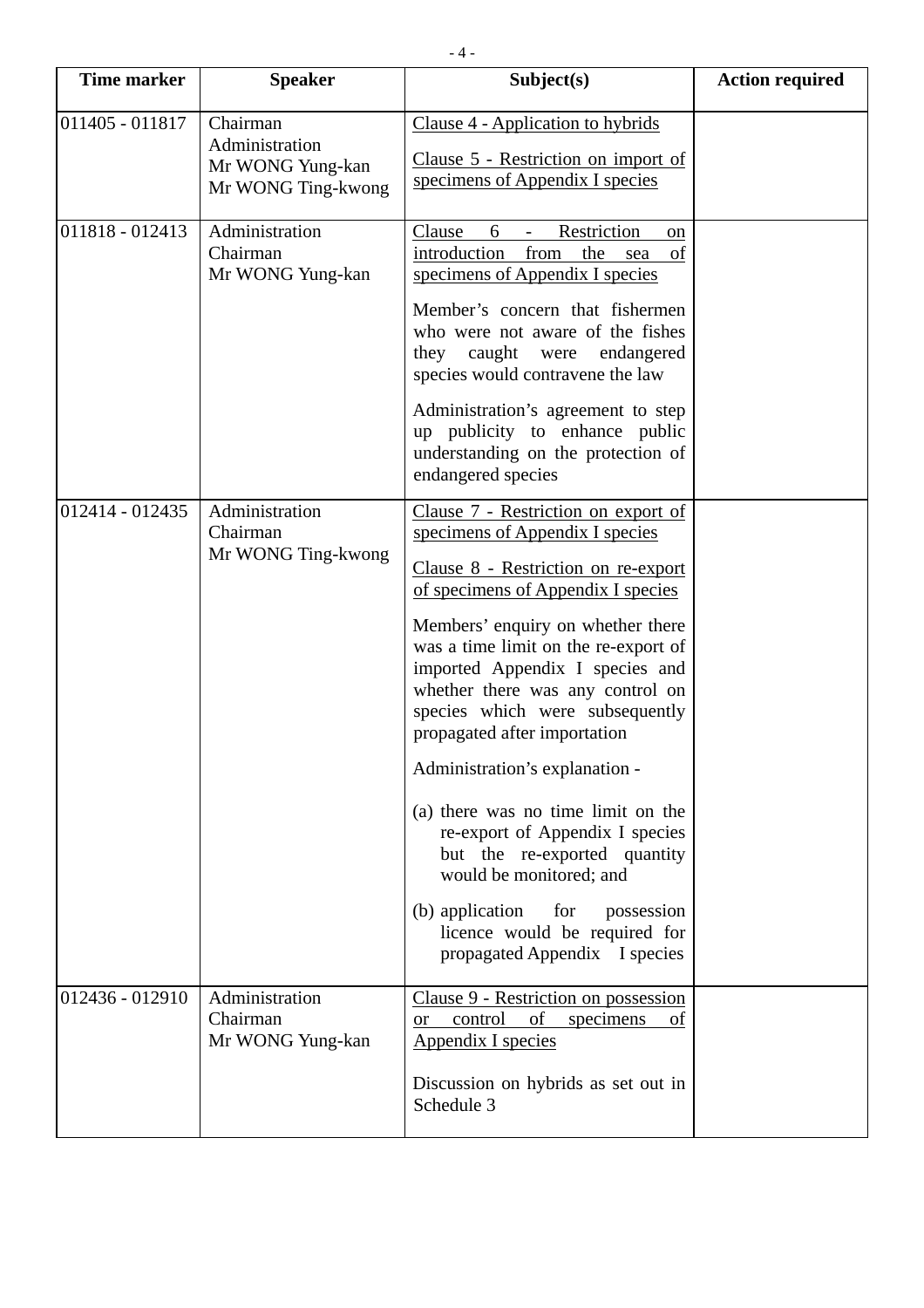| <b>Time marker</b> | <b>Speaker</b>                                                       | Subject(s)                                                                                                                                                                                                                                                                                                                                                                                                                                                                                                                                                                                                                                                 | <b>Action required</b> |
|--------------------|----------------------------------------------------------------------|------------------------------------------------------------------------------------------------------------------------------------------------------------------------------------------------------------------------------------------------------------------------------------------------------------------------------------------------------------------------------------------------------------------------------------------------------------------------------------------------------------------------------------------------------------------------------------------------------------------------------------------------------------|------------------------|
| 011405 - 011817    | Chairman<br>Administration<br>Mr WONG Yung-kan<br>Mr WONG Ting-kwong | Clause 4 - Application to hybrids<br>Clause 5 - Restriction on import of<br>specimens of Appendix I species                                                                                                                                                                                                                                                                                                                                                                                                                                                                                                                                                |                        |
| 011818 - 012413    | Administration<br>Chairman<br>Mr WONG Yung-kan                       | Restriction<br>Clause<br>6<br>on<br>introduction<br>from<br>the<br>of<br>sea<br>specimens of Appendix I species<br>Member's concern that fishermen<br>who were not aware of the fishes<br>they caught were<br>endangered<br>species would contravene the law<br>Administration's agreement to step<br>up publicity to enhance public<br>understanding on the protection of<br>endangered species                                                                                                                                                                                                                                                           |                        |
| 012414 - 012435    | Administration<br>Chairman<br>Mr WONG Ting-kwong                     | Clause 7 - Restriction on export of<br>specimens of Appendix I species<br>Clause 8 - Restriction on re-export<br>of specimens of Appendix I species<br>Members' enquiry on whether there<br>was a time limit on the re-export of<br>imported Appendix I species and<br>whether there was any control on<br>species which were subsequently<br>propagated after importation<br>Administration's explanation -<br>(a) there was no time limit on the<br>re-export of Appendix I species<br>but the re-exported quantity<br>would be monitored; and<br>(b) application<br>for<br>possession<br>licence would be required for<br>propagated Appendix I species |                        |
| 012436 - 012910    | Administration<br>Chairman<br>Mr WONG Yung-kan                       | Clause 9 - Restriction on possession<br>control of<br>specimens<br><sub>of</sub><br>or _<br><b>Appendix I species</b><br>Discussion on hybrids as set out in<br>Schedule 3                                                                                                                                                                                                                                                                                                                                                                                                                                                                                 |                        |